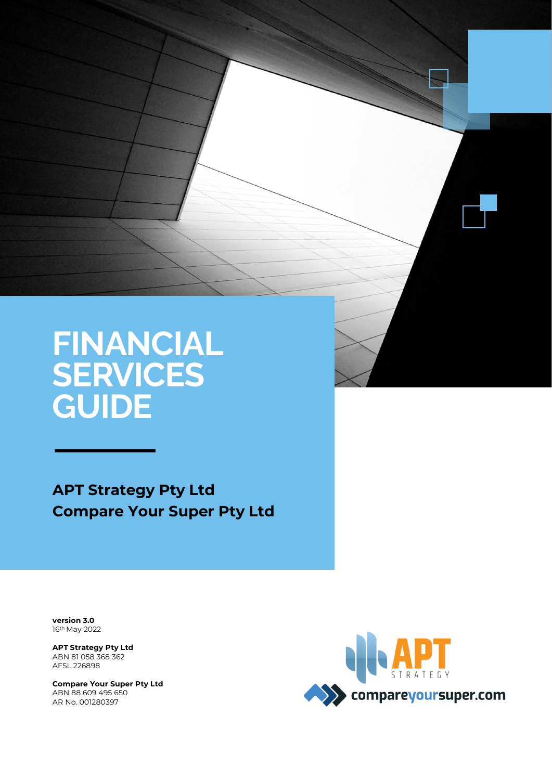# **FINANCIAL SERVICES GUIDE**

Page | 1 ATP Strategy Pty Ltd / Compare Your Super Pty Ltd - Financial Services Guide

**APT Strategy Pty Ltd Compare Your Super Pty Ltd**

**version 3.0** 16th May 2022

Ì

**APT Strategy Pty Ltd** ABN 81 058 368 362 AFSL 226898

**Compare Your Super Pty Ltd** ABN 88 609 495 650 AR No. 001280397

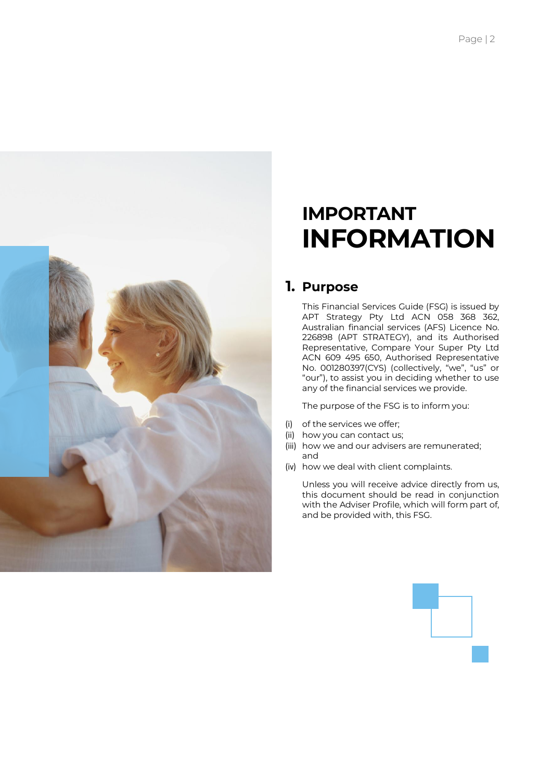

# **IMPORTANT INFORMATION**

## **1. Purpose**

This Financial Services Guide (FSG) is issued by APT Strategy Pty Ltd ACN 058 368 362, Australian financial services (AFS) Licence No. 226898 (APT STRATEGY), and its Authorised Representative, Compare Your Super Pty Ltd ACN 609 495 650, Authorised Representative No. 001280397(CYS) (collectively, "we", "us" or "our"), to assist you in deciding whether to use any of the financial services we provide.

The purpose of the FSG is to inform you:

- (i) of the services we offer;
- (ii) how you can contact us;
- (iii) how we and our advisers are remunerated; and
- (iv) how we deal with client complaints.

Unless you will receive advice directly from us, this document should be read in conjunction with the Adviser Profile, which will form part of, and be provided with, this FSG.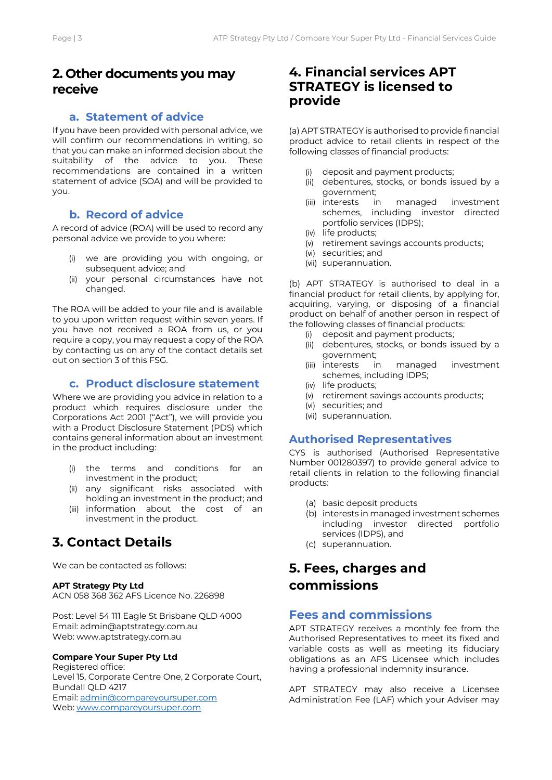## **2. Other documents you may receive**

### **a. Statement of advice**

If you have been provided with personal advice, we will confirm our recommendations in writing, so that you can make an informed decision about the suitability of the advice to you. These recommendations are contained in a written statement of advice (SOA) and will be provided to you.

### **b. Record of advice**

A record of advice (ROA) will be used to record any personal advice we provide to you where:

- (i) we are providing you with ongoing, or subsequent advice; and
- (ii) your personal circumstances have not changed.

The ROA will be added to your file and is available to you upon written request within seven years. If you have not received a ROA from us, or you require a copy, you may request a copy of the ROA by contacting us on any of the contact details set out on section 3 of this FSG.

## **c. Product disclosure statement**

Where we are providing you advice in relation to a product which requires disclosure under the Corporations Act 2001 ("Act"), we will provide you with a Product Disclosure Statement (PDS) which contains general information about an investment in the product including:

- (i) the terms and conditions for an investment in the product;
- (ii) any significant risks associated with holding an investment in the product; and
- (iii) information about the cost of an investment in the product.

# **3. Contact Details**

We can be contacted as follows:

#### **APT Strategy Pty Ltd**

ACN 058 368 362 AFS Licence No. 226898

Post: Level 54 111 Eagle St Brisbane QLD 4000 Email: admin@aptstrategy.com.au Web: www.aptstrategy.com.au

#### **Compare Your Super Pty Ltd**

Registered office: Level 15, Corporate Centre One, 2 Corporate Court, Bundall QLD 4217 Email[: admin@compareyoursuper.com](mailto:admin@compareyoursuper.com) Web: [www.compareyoursuper.com](http://www.compareyoursuper.com/)

## **4. Financial services APT STRATEGY is licensed to provide**

(a) APT STRATEGY is authorised to provide financial product advice to retail clients in respect of the following classes of financial products:

- (i) deposit and payment products;
- (ii) debentures, stocks, or bonds issued by a government;
- (iii) interests in managed investment schemes, including investor directed portfolio services (IDPS);
- (iv) life products;
- (v) retirement savings accounts products;
- (vi) securities; and
- (vii) superannuation.

(b) APT STRATEGY is authorised to deal in a financial product for retail clients, by applying for, acquiring, varying, or disposing of a financial product on behalf of another person in respect of the following classes of financial products:

- (i) deposit and payment products;
- (ii) debentures, stocks, or bonds issued by a government;
- (iii) interests in managed investment schemes, including IDPS;
- (iv) life products;
- (v) retirement savings accounts products;
- (vi) securities; and
- (vii) superannuation.

#### **Authorised Representatives**

CYS is authorised (Authorised Representative Number 001280397) to provide general advice to retail clients in relation to the following financial products:

- (a) basic deposit products
- (b) interests in managed investment schemes including investor directed portfolio services (IDPS), and
- (c) superannuation.

# **5. Fees, charges and commissions**

## **Fees and commissions**

APT STRATEGY receives a monthly fee from the Authorised Representatives to meet its fixed and variable costs as well as meeting its fiduciary obligations as an AFS Licensee which includes having a professional indemnity insurance.

APT STRATEGY may also receive a Licensee Administration Fee (LAF) which your Adviser may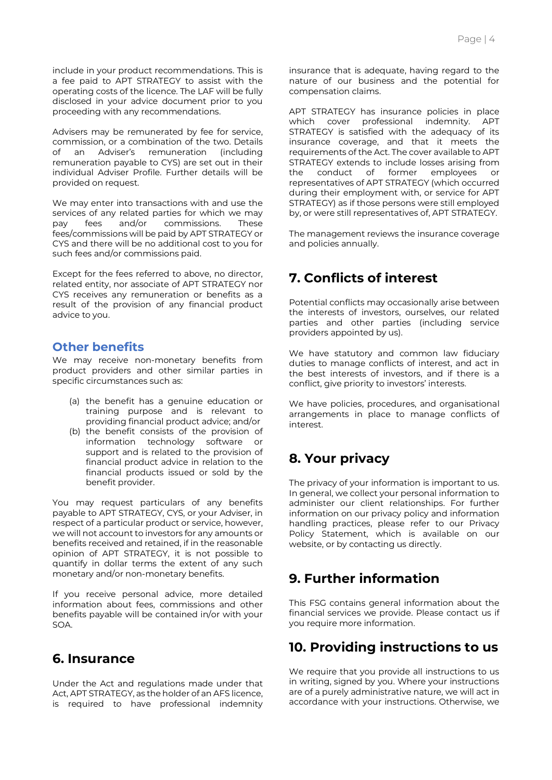include in your product recommendations. This is a fee paid to APT STRATEGY to assist with the operating costs of the licence. The LAF will be fully disclosed in your advice document prior to you proceeding with any recommendations.

Advisers may be remunerated by fee for service, commission, or a combination of the two. Details of an Adviser's remuneration (including remuneration payable to CYS) are set out in their individual Adviser Profile. Further details will be provided on request.

We may enter into transactions with and use the services of any related parties for which we may pay fees and/or commissions. These fees/commissions will be paid by APT STRATEGY or CYS and there will be no additional cost to you for such fees and/or commissions paid.

Except for the fees referred to above, no director, related entity, nor associate of APT STRATEGY nor CYS receives any remuneration or benefits as a result of the provision of any financial product advice to you.

## **Other benefits**

We may receive non-monetary benefits from product providers and other similar parties in specific circumstances such as:

- (a) the benefit has a genuine education or training purpose and is relevant to providing financial product advice; and/or
- (b) the benefit consists of the provision of information technology software or support and is related to the provision of financial product advice in relation to the financial products issued or sold by the benefit provider.

You may request particulars of any benefits payable to APT STRATEGY, CYS, or your Adviser, in respect of a particular product or service, however, we will not account to investors for any amounts or benefits received and retained, if in the reasonable opinion of APT STRATEGY, it is not possible to quantify in dollar terms the extent of any such monetary and/or non-monetary benefits.

If you receive personal advice, more detailed information about fees, commissions and other benefits payable will be contained in/or with your SOA.

## **6. Insurance**

Under the Act and regulations made under that Act, APT STRATEGY, as the holder of an AFS licence, is required to have professional indemnity insurance that is adequate, having regard to the nature of our business and the potential for compensation claims.

APT STRATEGY has insurance policies in place which cover professional indemnity. APT STRATEGY is satisfied with the adequacy of its insurance coverage, and that it meets the requirements of the Act. The cover available to APT STRATEGY extends to include losses arising from the conduct of former employees or representatives of APT STRATEGY (which occurred during their employment with, or service for APT STRATEGY) as if those persons were still employed by, or were still representatives of, APT STRATEGY.

The management reviews the insurance coverage and policies annually.

# **7. Conflicts of interest**

Potential conflicts may occasionally arise between the interests of investors, ourselves, our related parties and other parties (including service providers appointed by us).

We have statutory and common law fiduciary duties to manage conflicts of interest, and act in the best interests of investors, and if there is a conflict, give priority to investors' interests.

We have policies, procedures, and organisational arrangements in place to manage conflicts of interest

# **8. Your privacy**

The privacy of your information is important to us. In general, we collect your personal information to administer our client relationships. For further information on our privacy policy and information handling practices, please refer to our Privacy Policy Statement, which is available on our website, or by contacting us directly.

# **9. Further information**

This FSG contains general information about the financial services we provide. Please contact us if you require more information.

# **10. Providing instructions to us**

We require that you provide all instructions to us in writing, signed by you. Where your instructions are of a purely administrative nature, we will act in accordance with your instructions. Otherwise, we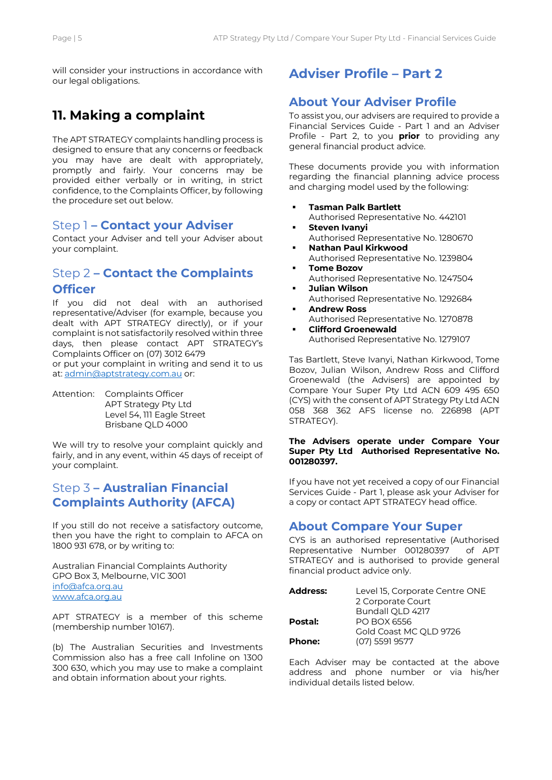will consider your instructions in accordance with our legal obligations.

# **11. Making a complaint**

The APT STRATEGY complaints handling process is designed to ensure that any concerns or feedback you may have are dealt with appropriately, promptly and fairly. Your concerns may be provided either verbally or in writing, in strict confidence, to the Complaints Officer, by following the procedure set out below.

## Step 1 **– Contact your Adviser**

Contact your Adviser and tell your Adviser about your complaint.

## Step 2 **– Contact the Complaints Officer**

If you did not deal with an authorised representative/Adviser (for example, because you dealt with APT STRATEGY directly), or if your complaint is not satisfactorily resolved within three days, then please contact APT STRATEGY's Complaints Officer on (07) 3012 6479 or put your complaint in writing and send it to us at: [admin@aptstrategy.com.au](mailto:admin@aptstrategy.com.au) or:

Attention: Complaints Officer APT Strategy Pty Ltd Level 54, 111 Eagle Street Brisbane QLD 4000

We will try to resolve your complaint quickly and fairly, and in any event, within 45 days of receipt of your complaint.

## Step 3 **– Australian Financial Complaints Authority (AFCA)**

If you still do not receive a satisfactory outcome, then you have the right to complain to AFCA on 1800 931 678, or by writing to:

Australian Financial Complaints Authority GPO Box 3, Melbourne, VIC 3001 [info@afca.org.au](mailto:info@afca.org.au) [www.afca.org.au](http://www.afca.org.au/)

APT STRATEGY is a member of this scheme (membership number 10167).

(b) The Australian Securities and Investments Commission also has a free call Infoline on 1300 300 630, which you may use to make a complaint and obtain information about your rights.

# **Adviser Profile – Part 2**

## **About Your Adviser Profile**

To assist you, our advisers are required to provide a Financial Services Guide ‐ Part 1 and an Adviser Profile ‐ Part 2, to you **prior** to providing any general financial product advice.

These documents provide you with information regarding the financial planning advice process and charging model used by the following:

- **Tasman Palk Bartlett** Authorised Representative No. 442101
- **Steven Ivanyi** Authorised Representative No. 1280670
- **Nathan Paul Kirkwood** Authorised Representative No. 1239804
- **Tome Bozov** Authorised Representative No. 1247504
- **Julian Wilson** Authorised Representative No. 1292684
- **Andrew Ross** Authorised Representative No. 1270878
- **Clifford Groenewald** Authorised Representative No. 1279107

Tas Bartlett, Steve Ivanyi, Nathan Kirkwood, Tome Bozov, Julian Wilson, Andrew Ross and Clifford Groenewald (the Advisers) are appointed by Compare Your Super Pty Ltd ACN 609 495 650 (CYS) with the consent of APT Strategy Pty Ltd ACN 058 368 362 AFS license no. 226898 (APT STRATEGY).

#### **The Advisers operate under Compare Your Super Pty Ltd Authorised Representative No. 001280397.**

If you have not yet received a copy of our Financial Services Guide ‐ Part 1, please ask your Adviser for a copy or contact APT STRATEGY head office.

## **About Compare Your Super**

CYS is an authorised representative (Authorised Representative Number 001280397 of APT STRATEGY and is authorised to provide general financial product advice only.

| <b>Address:</b> | Level 15, Corporate Centre ONE |
|-----------------|--------------------------------|
|                 | 2 Corporate Court              |
|                 | Bundall QLD 4217               |
| Postal:         | PO BOX 6556                    |
|                 | Gold Coast MC OLD 9726         |
| <b>Phone:</b>   | (07) 5591 9577                 |
|                 |                                |

Each Adviser may be contacted at the above address and phone number or via his/her individual details listed below.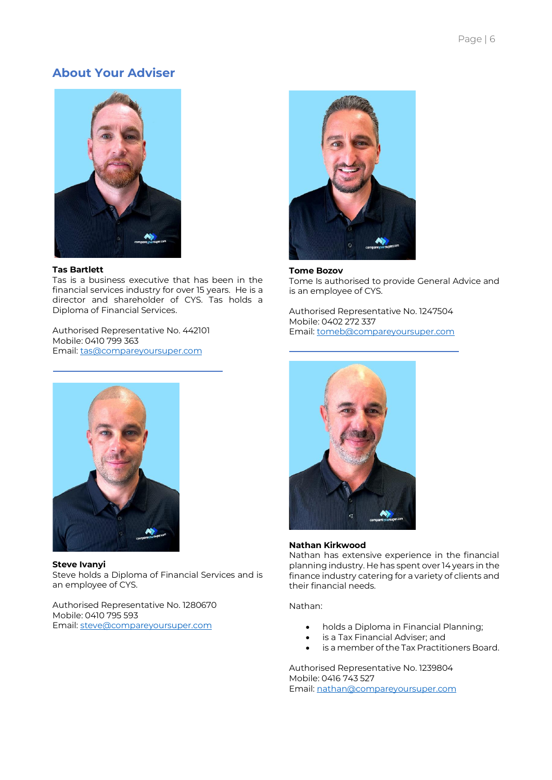## **About Your Adviser**



#### **Tas Bartlett**

Tas is a business executive that has been in the financial services industry for over 15 years. He is a director and shareholder of CYS. Tas holds a Diploma of Financial Services.

Authorised Representative No. 442101 Mobile: 0410 799 363 Email[: tas@compareyoursuper.com](mailto:tas@compareyoursuper.com)



**Steve Ivanyi** Steve holds a Diploma of Financial Services and is an employee of CYS.

Authorised Representative No. 1280670 Mobile: 0410 795 593 Email[: steve@compareyoursuper.com](mailto:steve@compareyoursuper.com)



#### **Tome Bozov**

Tome Is authorised to provide General Advice and is an employee of CYS.

Authorised Representative No. 1247504 Mobile: 0402 272 337 Email: [tomeb@compareyoursuper.com](mailto:tomeb@compareyoursuper.com)



#### **Nathan Kirkwood**

Nathan has extensive experience in the financial planning industry. He has spent over 14 years in the finance industry catering for a variety of clients and their financial needs.

#### Nathan:

- holds a Diploma in Financial Planning;
- is a Tax Financial Adviser; and
- is a member of the Tax Practitioners Board.

Authorised Representative No. 1239804 Mobile: 0416 743 527 Email: [nathan@compareyoursuper.com](mailto:nathan@compareyoursuper.com)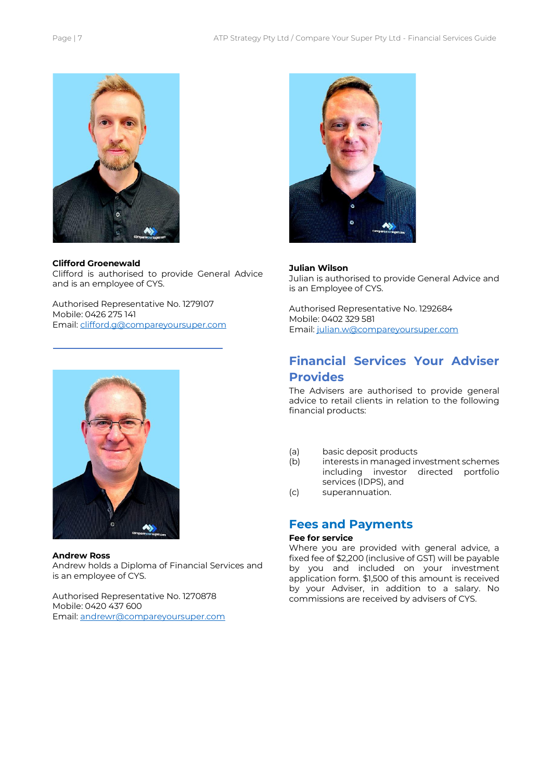

#### **Clifford Groenewald**

Clifford is authorised to provide General Advice and is an employee of CYS.

Authorised Representative No. 1279107 Mobile: 0426 275 141 Email: [clifford.g@compareyoursuper.com](mailto:clifford.g@compareyoursuper.com)



#### **Andrew Ross**

Andrew holds a Diploma of Financial Services and is an employee of CYS.

Authorised Representative No. 1270878 Mobile: 0420 437 600 Email: [andrewr@compareyoursuper.com](mailto:andrewr@compareyoursuper.com)



#### **Julian Wilson**

Julian is authorised to provide General Advice and is an Employee of CYS.

Authorised Representative No. 1292684 Mobile: 0402 329 581 Email: [julian.w@compareyoursuper.com](mailto:julian.w@compareyoursuper.com)

## **Financial Services Your Adviser Provides**

The Advisers are authorised to provide general advice to retail clients in relation to the following financial products:

- (a) basic deposit products<br>(b) interests in managed in
- interests in managed investment schemes including investor directed portfolio services (IDPS), and
- (c) superannuation.

### **Fees and Payments**

#### **Fee for service**

Where you are provided with general advice, a fixed fee of \$2,200 (inclusive of GST) will be payable by you and included on your investment application form. \$1,500 of this amount is received by your Adviser, in addition to a salary. No commissions are received by advisers of CYS.